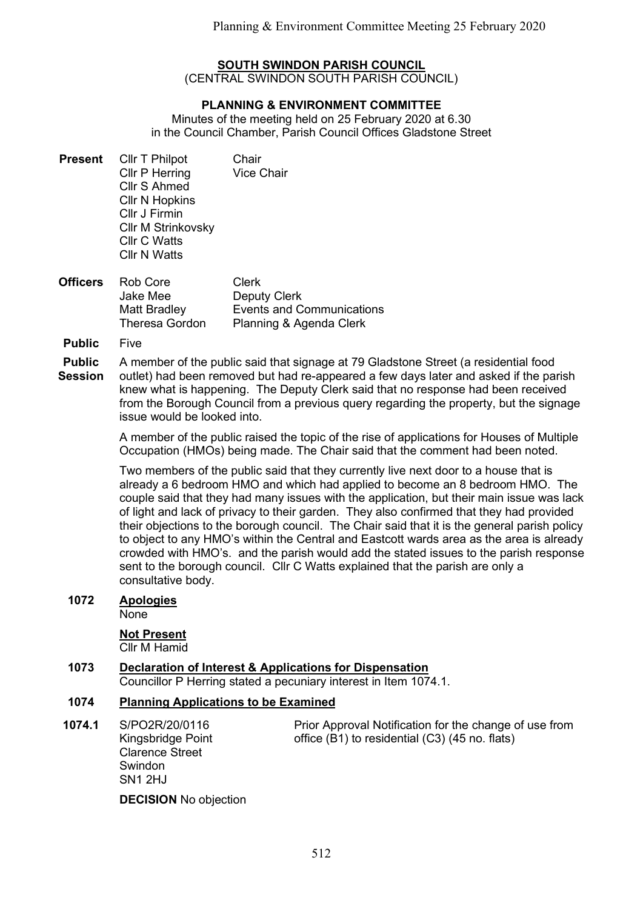## SOUTH SWINDON PARISH COUNCIL

(CENTRAL SWINDON SOUTH PARISH COUNCIL)

## PLANNING & ENVIRONMENT COMMITTEE

Minutes of the meeting held on 25 February 2020 at 6.30 in the Council Chamber, Parish Council Offices Gladstone Street

- Present Cllr T Philpot Chair Cllr P Herring Vice Chair Cllr S Ahmed Cllr N Hopkins Cllr J Firmin Cllr M Strinkovsky Cllr C Watts Cllr N Watts
- Officers Rob Core Jake Mee Matt Bradley Theresa Gordon Clerk Deputy Clerk Events and Communications Planning & Agenda Clerk
- Public Five

Public A member of the public said that signage at 79 Gladstone Street (a residential food

**Session** outlet) had been removed but had re-appeared a few days later and asked if the parish knew what is happening. The Deputy Clerk said that no response had been received from the Borough Council from a previous query regarding the property, but the signage issue would be looked into.

> A member of the public raised the topic of the rise of applications for Houses of Multiple Occupation (HMOs) being made. The Chair said that the comment had been noted.

Two members of the public said that they currently live next door to a house that is already a 6 bedroom HMO and which had applied to become an 8 bedroom HMO. The couple said that they had many issues with the application, but their main issue was lack of light and lack of privacy to their garden. They also confirmed that they had provided their objections to the borough council. The Chair said that it is the general parish policy to object to any HMO's within the Central and Eastcott wards area as the area is already crowded with HMO's. and the parish would add the stated issues to the parish response sent to the borough council. Cllr C Watts explained that the parish are only a consultative body.

## 1072 Apologies

None

## Not Present

Cllr M Hamid

# 1073 Declaration of Interest & Applications for Dispensation

Councillor P Herring stated a pecuniary interest in Item 1074.1.

## 1074 Planning Applications to be Examined

1074.1 S/PO2R/20/0116 Kingsbridge Point Clarence Street Swindon SN1 2HJ

Prior Approval Notification for the change of use from office (B1) to residential (C3) (45 no. flats)

DECISION No objection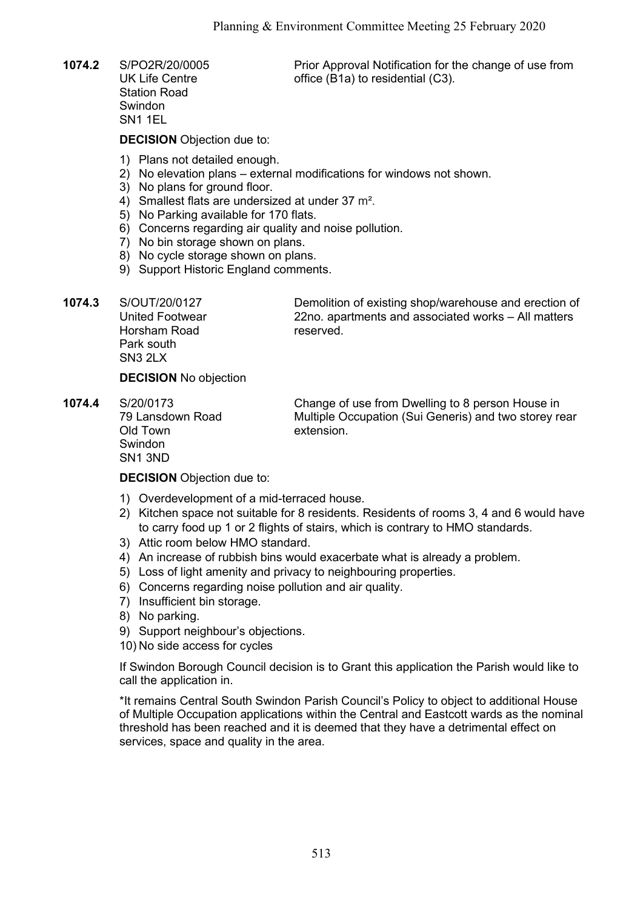1074.2 S/PO2R/20/0005 UK Life Centre Station Road Swindon SN1 1EL

Prior Approval Notification for the change of use from office (B1a) to residential (C3).

DECISION Objection due to:

- 1) Plans not detailed enough.
- 2) No elevation plans external modifications for windows not shown.
- 3) No plans for ground floor.
- 4) Smallest flats are undersized at under 37 m².
- 5) No Parking available for 170 flats.
- 6) Concerns regarding air quality and noise pollution.
- 7) No bin storage shown on plans.
- 8) No cycle storage shown on plans.
- 9) Support Historic England comments.
- 1074.3 S/OUT/20/0127 United Footwear Horsham Road Park south SN3 2LX

Demolition of existing shop/warehouse and erection of 22no. apartments and associated works – All matters reserved.

#### DECISION No objection

1074.4 S/20/0173 79 Lansdown Road Old Town Swindon SN1 3ND

Change of use from Dwelling to 8 person House in Multiple Occupation (Sui Generis) and two storey rear extension.

#### DECISION Objection due to:

- 1) Overdevelopment of a mid-terraced house.
- 2) Kitchen space not suitable for 8 residents. Residents of rooms 3, 4 and 6 would have to carry food up 1 or 2 flights of stairs, which is contrary to HMO standards.
- 3) Attic room below HMO standard.
- 4) An increase of rubbish bins would exacerbate what is already a problem.
- 5) Loss of light amenity and privacy to neighbouring properties.
- 6) Concerns regarding noise pollution and air quality.
- 7) Insufficient bin storage.
- 8) No parking.
- 9) Support neighbour's objections.
- 10) No side access for cycles

If Swindon Borough Council decision is to Grant this application the Parish would like to call the application in.

\*It remains Central South Swindon Parish Council's Policy to object to additional House of Multiple Occupation applications within the Central and Eastcott wards as the nominal threshold has been reached and it is deemed that they have a detrimental effect on services, space and quality in the area.